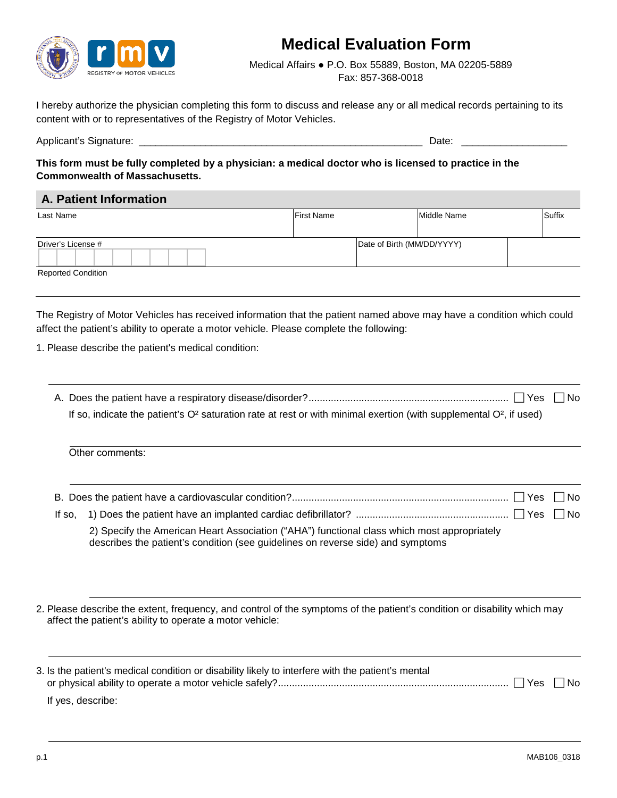

## **Medical Evaluation Form**

Medical Affairs ● P.O. Box 55889, Boston, MA 02205-5889 Fax: 857-368-0018

I hereby authorize the physician completing this form to discuss and release any or all medical records pertaining to its content with or to representatives of the Registry of Motor Vehicles.

Applicant's Signature: \_\_\_\_\_\_\_\_\_\_\_\_\_\_\_\_\_\_\_\_\_\_\_\_\_\_\_\_\_\_\_\_\_\_\_\_\_\_\_\_\_\_\_\_\_\_\_\_\_\_\_ Date: \_\_\_\_\_\_\_\_\_\_\_\_\_\_\_\_\_\_\_

**This form must be fully completed by a physician: a medical doctor who is licensed to practice in the Commonwealth of Massachusetts.**

## **A. Patient Information**

| Last Name                 | <b>First Name</b> |                            | Middle Name | Suffix |
|---------------------------|-------------------|----------------------------|-------------|--------|
|                           |                   |                            |             |        |
| Driver's License #        |                   | Date of Birth (MM/DD/YYYY) |             |        |
|                           |                   |                            |             |        |
| <b>Reported Condition</b> |                   |                            |             |        |

The Registry of Motor Vehicles has received information that the patient named above may have a condition which could affect the patient's ability to operate a motor vehicle. Please complete the following:

- 1. Please describe the patient's medical condition:
	- A. Does the patient have a respiratory disease/disorder?........................................................................ Yes No If so, indicate the patient's  $O^2$  saturation rate at rest or with minimal exertion (with supplemental  $O^2$ , if used)

| 2) Specify the American Heart Association ("AHA") functional class which most appropriately<br>describes the patient's condition (see guidelines on reverse side) and symptoms |  |
|--------------------------------------------------------------------------------------------------------------------------------------------------------------------------------|--|

2. Please describe the extent, frequency, and control of the symptoms of the patient's condition or disability which may affect the patient's ability to operate a motor vehicle:

| 3. Is the patient's medical condition or disability likely to interfere with the patient's mental |  |
|---------------------------------------------------------------------------------------------------|--|
|                                                                                                   |  |
| If yes, describe:                                                                                 |  |